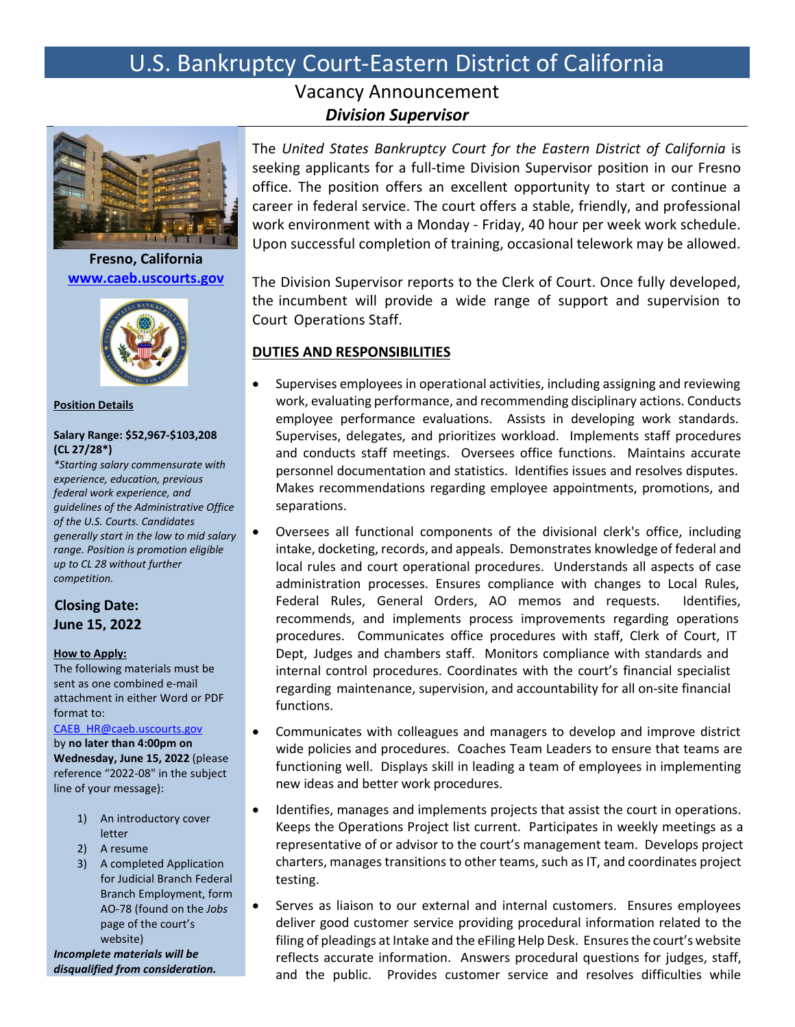# U.S. Bankruptcy Court-Eastern District of California

# Vacancy Announcement *Division Supervisor*



**Fresno, California [www.caeb.uscourts.gov](http://www.caeb.uscourts.gov/)**



**Position Details**

## **Salary Range: \$52,967-\$103,208 (CL 27/28\*)**

*\*Starting salary commensurate with experience, education, previous federal work experience, and guidelines of the Administrative Office of the U.S. Courts. Candidates generally start in the low to mid salary range. Position is promotion eligible up to CL 28 without further competition.*

# **Closing Date: June 15, 2022**

## **How to Apply:**

The following materials must be sent as one combined e-mail attachment in either Word or PDF format to:

[CAEB\\_HR@caeb.uscourts.gov](mailto:CAEB_HR@caeb.uscourts.gov)

by **no later than 4:00pm on Wednesday, June 15, 2022** (please reference "2022-08" in the subject line of your message):

- 1) An introductory cover letter
- 2) A resume
- 3) A completed Application for Judicial Branch Federal Branch Employment, form AO-78 (found on the *Jobs* page of the court's website)

*Incomplete materials will be disqualified from consideration.* The *United States Bankruptcy Court for the Eastern District of California* is seeking applicants for a full-time Division Supervisor position in our Fresno office. The position offers an excellent opportunity to start or continue a career in federal service. The court offers a stable, friendly, and professional work environment with a Monday - Friday, 40 hour per week work schedule. Upon successful completion of training, occasional telework may be allowed.

The Division Supervisor reports to the Clerk of Court. Once fully developed, the incumbent will provide a wide range of support and supervision to Court Operations Staff.

## **DUTIES AND RESPONSIBILITIES**

- Supervises employees in operational activities, including assigning and reviewing work, evaluating performance, and recommending disciplinary actions. Conducts employee performance evaluations. Assists in developing work standards. Supervises, delegates, and prioritizes workload. Implements staff procedures and conducts staff meetings. Oversees office functions. Maintains accurate personnel documentation and statistics. Identifies issues and resolves disputes. Makes recommendations regarding employee appointments, promotions, and separations.
- Oversees all functional components of the divisional clerk's office, including intake, docketing, records, and appeals. Demonstrates knowledge of federal and local rules and court operational procedures. Understands all aspects of case administration processes. Ensures compliance with changes to Local Rules, Federal Rules, General Orders, AO memos and requests. Identifies, recommends, and implements process improvements regarding operations procedures. Communicates office procedures with staff, Clerk of Court, IT Dept, Judges and chambers staff. Monitors compliance with standards and internal control procedures. Coordinates with the court's financial specialist regarding maintenance, supervision, and accountability for all on-site financial functions.
- Communicates with colleagues and managers to develop and improve district wide policies and procedures. Coaches Team Leaders to ensure that teams are functioning well. Displays skill in leading a team of employees in implementing new ideas and better work procedures.
- Identifies, manages and implements projects that assist the court in operations. Keeps the Operations Project list current. Participates in weekly meetings as a representative of or advisor to the court's management team. Develops project charters, manages transitions to other teams, such as IT, and coordinates project testing.
- Serves as liaison to our external and internal customers. Ensures employees deliver good customer service providing procedural information related to the filing of pleadings at Intake and the eFiling Help Desk. Ensures the court's website reflects accurate information. Answers procedural questions for judges, staff, and the public. Provides customer service and resolves difficulties while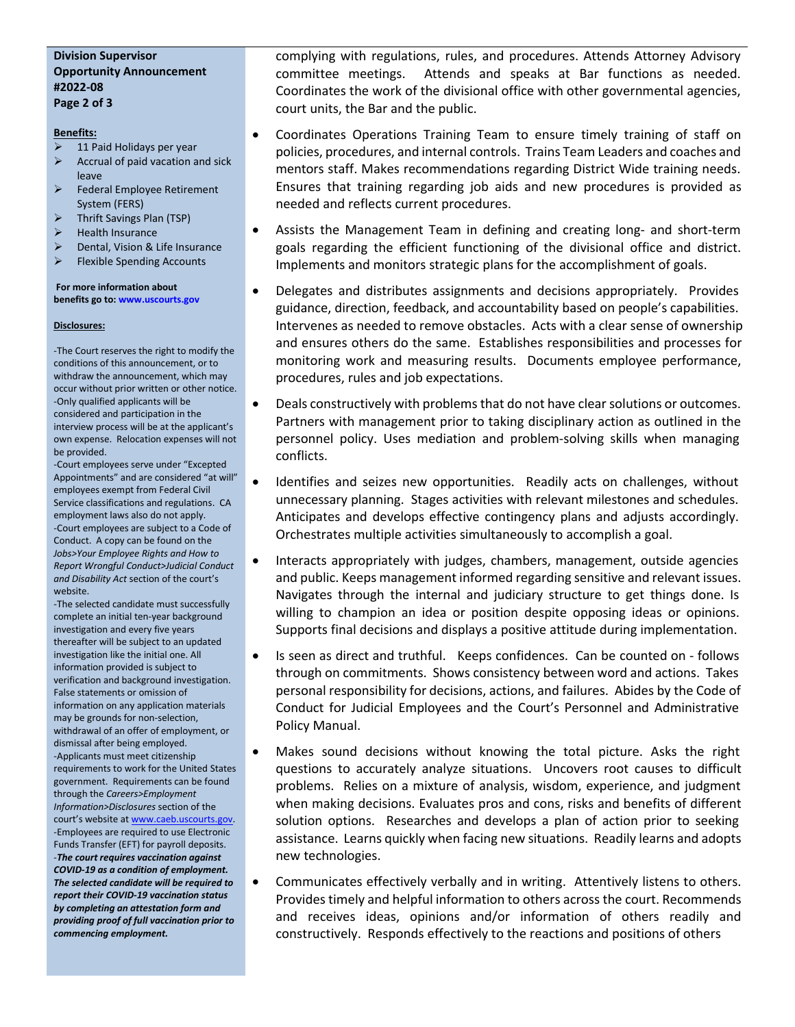## **Division Supervisor Opportunity Announcement #2022-08 Page 2 of 3**

#### **Benefits:**

- 11 Paid Holidays per year
- $\triangleright$  Accrual of paid vacation and sick leave
- $\triangleright$  Federal Employee Retirement System (FERS)
- $\triangleright$  Thrift Savings Plan (TSP)
- $\blacktriangleright$  Health Insurance
- Dental, Vision & Life Insurance
- $\triangleright$  Flexible Spending Accounts

#### **For more information about benefits go to[: www.uscourts.gov](http://www.uscourts.gov/)**

#### **Disclosures:**

-The Court reserves the right to modify the conditions of this announcement, or to withdraw the announcement, which may occur without prior written or other notice. -Only qualified applicants will be considered and participation in the interview process will be at the applicant's own expense. Relocation expenses will not be provided.

-Court employees serve under "Excepted Appointments" and are considered "at will" employees exempt from Federal Civil Service classifications and regulations. CA employment laws also do not apply. -Court employees are subject to a Code of Conduct. A copy can be found on the *Jobs>Your Employee Rights and How to Report Wrongful Conduct>Judicial Conduct and Disability Act* section of the court's website.

-The selected candidate must successfully complete an initial ten-year background investigation and every five years thereafter will be subject to an updated investigation like the initial one. All information provided is subject to verification and background investigation. False statements or omission of information on any application materials may be grounds for non-selection, withdrawal of an offer of employment, or dismissal after being employed. -Applicants must meet citizenship requirements to work for the United States government. Requirements can be found through the *Careers>Employment Information>Disclosures* section of the court's website a[t www.caeb.uscourts.gov.](http://www.caeb.uscourts.gov/) -Employees are required to use Electronic Funds Transfer (EFT) for payroll deposits. -*The court requires vaccination against COVID-19 as a condition of employment. The selected candidate will be required to report their COVID-19 vaccination status by completing an attestation form and providing proof of full vaccination prior to commencing employment.*

complying with regulations, rules, and procedures. Attends Attorney Advisory committee meetings. Attends and speaks at Bar functions as needed. Coordinates the work of the divisional office with other governmental agencies, court units, the Bar and the public.

- Coordinates Operations Training Team to ensure timely training of staff on policies, procedures, and internal controls. Trains Team Leaders and coaches and mentors staff. Makes recommendations regarding District Wide training needs. Ensures that training regarding job aids and new procedures is provided as needed and reflects current procedures.
- Assists the Management Team in defining and creating long- and short-term goals regarding the efficient functioning of the divisional office and district. Implements and monitors strategic plans for the accomplishment of goals.
- Delegates and distributes assignments and decisions appropriately. Provides guidance, direction, feedback, and accountability based on people's capabilities. Intervenes as needed to remove obstacles. Acts with a clear sense of ownership and ensures others do the same. Establishes responsibilities and processes for monitoring work and measuring results. Documents employee performance, procedures, rules and job expectations.
- Deals constructively with problems that do not have clear solutions or outcomes. Partners with management prior to taking disciplinary action as outlined in the personnel policy. Uses mediation and problem-solving skills when managing conflicts.
- Identifies and seizes new opportunities. Readily acts on challenges, without unnecessary planning. Stages activities with relevant milestones and schedules. Anticipates and develops effective contingency plans and adjusts accordingly. Orchestrates multiple activities simultaneously to accomplish a goal.
- Interacts appropriately with judges, chambers, management, outside agencies and public. Keeps management informed regarding sensitive and relevant issues. Navigates through the internal and judiciary structure to get things done. Is willing to champion an idea or position despite opposing ideas or opinions. Supports final decisions and displays a positive attitude during implementation.
- Is seen as direct and truthful. Keeps confidences. Can be counted on follows through on commitments. Shows consistency between word and actions. Takes personal responsibility for decisions, actions, and failures. Abides by the Code of Conduct for Judicial Employees and the Court's Personnel and Administrative Policy Manual.
- Makes sound decisions without knowing the total picture. Asks the right questions to accurately analyze situations. Uncovers root causes to difficult problems. Relies on a mixture of analysis, wisdom, experience, and judgment when making decisions. Evaluates pros and cons, risks and benefits of different solution options. Researches and develops a plan of action prior to seeking assistance. Learns quickly when facing new situations. Readily learns and adopts new technologies.
- Communicates effectively verbally and in writing. Attentively listens to others. Provides timely and helpful information to others across the court. Recommends and receives ideas, opinions and/or information of others readily and constructively. Responds effectively to the reactions and positions of others